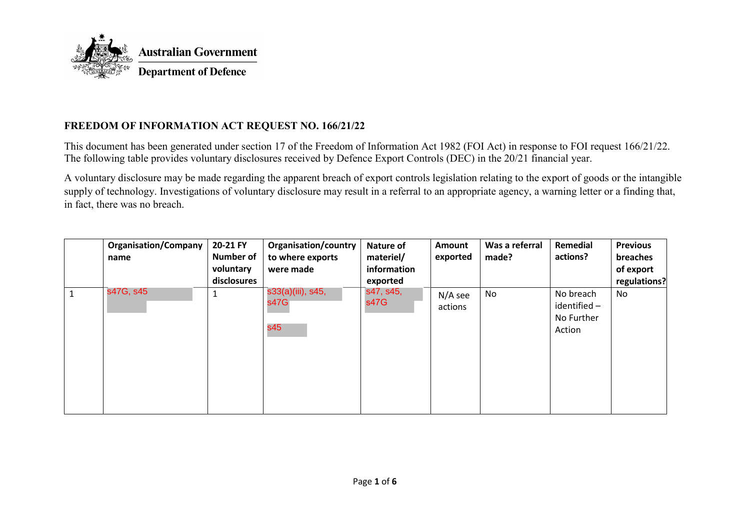

## **FREEDOM OF INFORMATION ACT REQUEST NO. 166/21/22**

This document has been generated under section 17 of the Freedom of Information Act 1982 (FOI Act) in response to FOI request 166/21/22. The following table provides voluntary disclosures received by Defence Export Controls (DEC) in the 20/21 financial year.

A voluntary disclosure may be made regarding the apparent breach of export controls legislation relating to the export of goods or the intangible supply of technology. Investigations of voluntary disclosure may result in a referral to an appropriate agency, a warning letter or a finding that, in fact, there was no breach.

| <b>Organisation/Company</b><br>name | 20-21 FY<br><b>Number of</b><br>voluntary<br>disclosures | <b>Organisation/country</b><br>to where exports<br>were made | <b>Nature of</b><br>materiel/<br>information<br>exported | Amount<br>exported   | Was a referral<br>made? | Remedial<br>actions?                              | <b>Previous</b><br>breaches<br>of export<br>regulations? |
|-------------------------------------|----------------------------------------------------------|--------------------------------------------------------------|----------------------------------------------------------|----------------------|-------------------------|---------------------------------------------------|----------------------------------------------------------|
| s47G, s45                           |                                                          | s33(a)(iii), s45,<br>s47G<br>s45                             | s47, s45,<br>s47G                                        | $N/A$ see<br>actions | No                      | No breach<br>identified -<br>No Further<br>Action | No                                                       |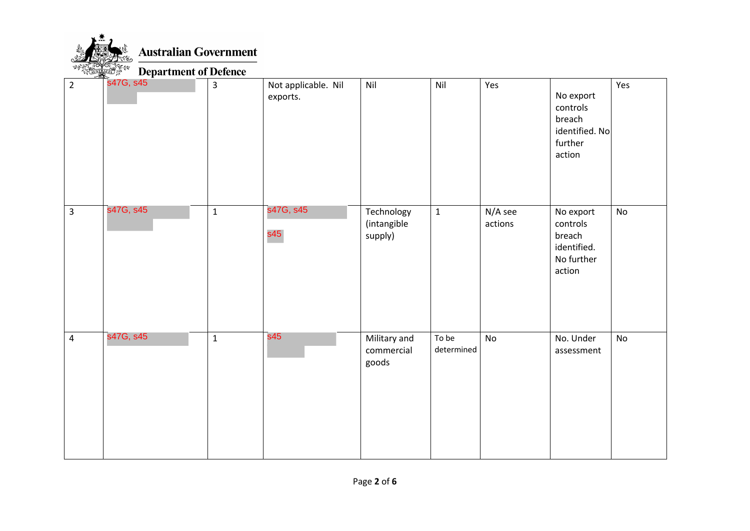

**Australian Government** 

## **Department of Defence**

| $\overline{2}$ | s47G, s45 | $\mathbf{3}$ | Not applicable. Nil<br>exports. | Nil                                  | Nil                 | Yes                | No export<br>controls<br>breach<br>identified. No<br>further<br>action | Yes |
|----------------|-----------|--------------|---------------------------------|--------------------------------------|---------------------|--------------------|------------------------------------------------------------------------|-----|
| $\overline{3}$ | s47G, s45 | $\mathbf 1$  | s47G, s45<br>s45                | Technology<br>(intangible<br>supply) | $\mathbf{1}$        | N/A see<br>actions | No export<br>controls<br>breach<br>identified.<br>No further<br>action | No  |
| $\overline{4}$ | s47G, s45 | $\mathbf 1$  | s45                             | Military and<br>commercial<br>goods  | To be<br>determined | No                 | No. Under<br>assessment                                                | No  |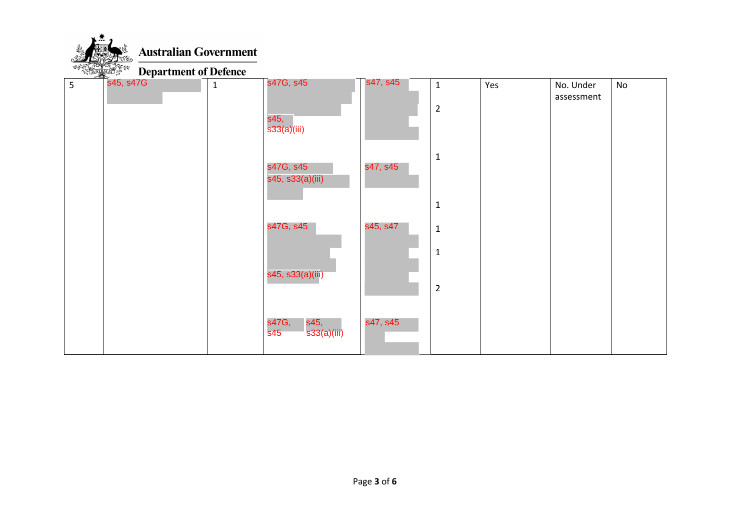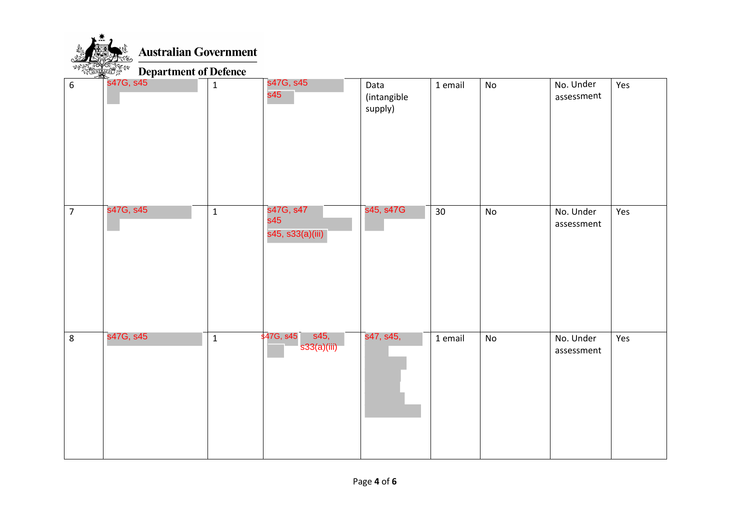**Australian Government** 

**Department of Defence**  $\leftrightarrow$ 

| 6              | <b>S47G, s45</b><br>$\overline{\phantom{a}}$ | $\mathbf 1$  | s47G, s45<br>s45                                                         | Data<br>(intangible<br>supply) | 1 email | No                           | No. Under<br>assessment | Yes |
|----------------|----------------------------------------------|--------------|--------------------------------------------------------------------------|--------------------------------|---------|------------------------------|-------------------------|-----|
| $\overline{7}$ | s47G, s45                                    | $\mathbf{1}$ | s47G, s47<br>s45<br>s45, s33(a)(iii)                                     | s45, s47G                      | 30      | $\mathsf{No}$                | No. Under<br>assessment | Yes |
| 8              | s47G, s45                                    | $\mathbf 1$  | s45,<br>$\overline{\textsf{8}47\textsf{G}}, \textsf{8}45$<br>s33(a)(iii) | s47, s45,                      | 1 email | $\operatorname{\mathsf{No}}$ | No. Under<br>assessment | Yes |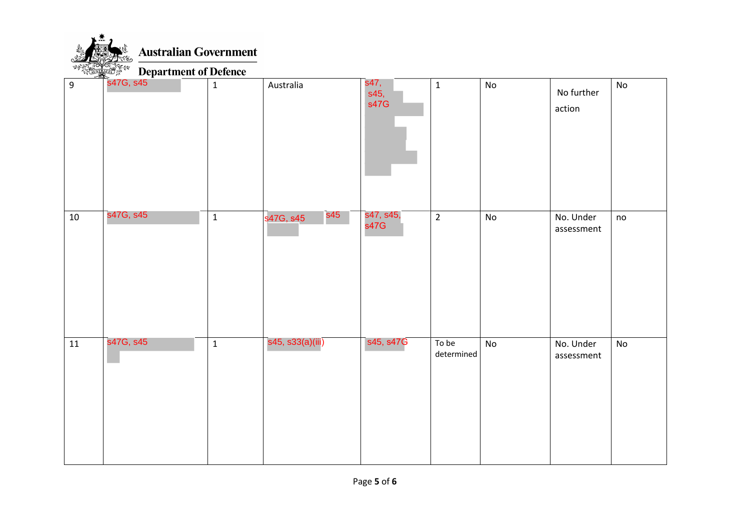

| 10 | s47G, s45 | $\mathbf 1$ | s45<br>s47G, s45 | s47, s45,<br>s47G | $\overline{2}$      | $\mathsf{No}$ | No. Under<br>assessment | no |
|----|-----------|-------------|------------------|-------------------|---------------------|---------------|-------------------------|----|
| 11 | s47G, s45 | $\mathbf 1$ | s45, s33(a)(iii) | s45, s47G         | To be<br>determined | No            | No. Under<br>assessment | No |

No further

No

action